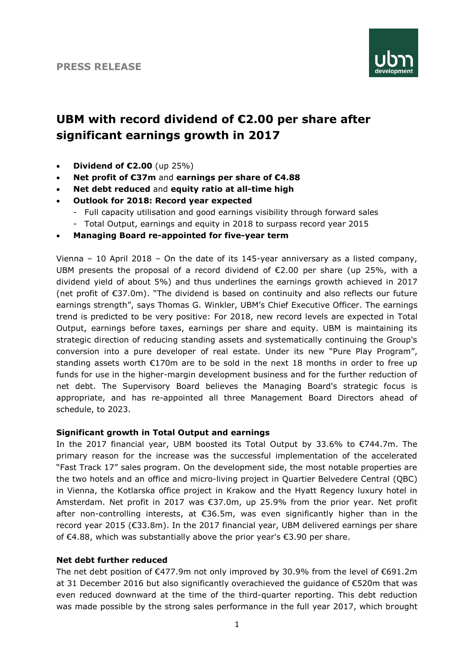

# **UBM with record dividend of €2.00 per share after significant earnings growth in 2017**

- **Dividend of €2.00** (up 25%)
- **Net profit of €37m** and **earnings per share of €4.88**
- **Net debt reduced** and **equity ratio at all-time high**
- **Outlook for 2018: Record year expected** 
	- Full capacity utilisation and good earnings visibility through forward sales - Total Output, earnings and equity in 2018 to surpass record year 2015
- **Managing Board re-appointed for five-year term**

Vienna – 10 April 2018 – On the date of its 145-year anniversary as a listed company, UBM presents the proposal of a record dividend of €2.00 per share (up 25%, with a dividend yield of about 5%) and thus underlines the earnings growth achieved in 2017 (net profit of €37.0m). "The dividend is based on continuity and also reflects our future earnings strength", says Thomas G. Winkler, UBM's Chief Executive Officer. The earnings trend is predicted to be very positive: For 2018, new record levels are expected in Total Output, earnings before taxes, earnings per share and equity. UBM is maintaining its strategic direction of reducing standing assets and systematically continuing the Group's conversion into a pure developer of real estate. Under its new "Pure Play Program", standing assets worth  $E170m$  are to be sold in the next 18 months in order to free up funds for use in the higher-margin development business and for the further reduction of net debt. The Supervisory Board believes the Managing Board's strategic focus is appropriate, and has re-appointed all three Management Board Directors ahead of schedule, to 2023.

## **Significant growth in Total Output and earnings**

In the 2017 financial year, UBM boosted its Total Output by 33.6% to €744.7m. The primary reason for the increase was the successful implementation of the accelerated "Fast Track 17" sales program. On the development side, the most notable properties are the two hotels and an office and micro-living project in Quartier Belvedere Central (QBC) in Vienna, the Kotlarska office project in Krakow and the Hyatt Regency luxury hotel in Amsterdam. Net profit in 2017 was €37.0m, up 25.9% from the prior year. Net profit after non-controlling interests, at €36.5m, was even significantly higher than in the record year 2015 (€33.8m). In the 2017 financial year, UBM delivered earnings per share of €4.88, which was substantially above the prior year's €3.90 per share.

#### **Net debt further reduced**

The net debt position of  $\epsilon$ 477.9m not only improved by 30.9% from the level of  $\epsilon$ 691.2m at 31 December 2016 but also significantly overachieved the guidance of €520m that was even reduced downward at the time of the third-quarter reporting. This debt reduction was made possible by the strong sales performance in the full year 2017, which brought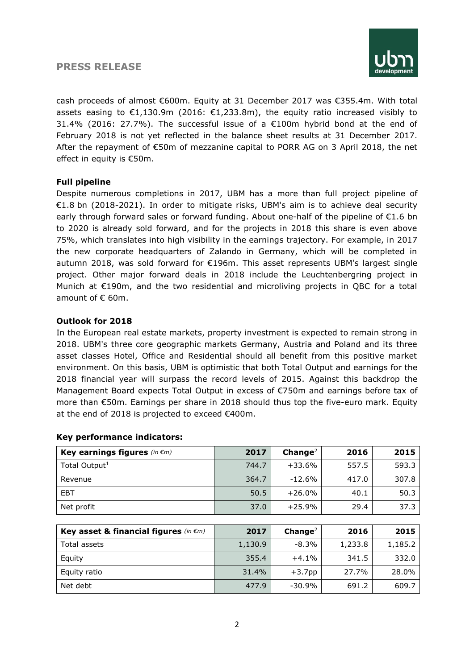#### **PRESS RELEASE**



cash proceeds of almost €600m. Equity at 31 December 2017 was €355.4m. With total assets easing to €1,130.9m (2016: €1,233.8m), the equity ratio increased visibly to 31.4% (2016: 27.7%). The successful issue of a  $E$ 100m hybrid bond at the end of February 2018 is not yet reflected in the balance sheet results at 31 December 2017. After the repayment of €50m of mezzanine capital to PORR AG on 3 April 2018, the net effect in equity is €50m.

#### **Full pipeline**

Despite numerous completions in 2017, UBM has a more than full project pipeline of €1.8 bn (2018-2021). In order to mitigate risks, UBM's aim is to achieve deal security early through forward sales or forward funding. About one-half of the pipeline of €1.6 bn to 2020 is already sold forward, and for the projects in 2018 this share is even above 75%, which translates into high visibility in the earnings trajectory. For example, in 2017 the new corporate headquarters of Zalando in Germany, which will be completed in autumn 2018, was sold forward for €196m. This asset represents UBM's largest single project. Other major forward deals in 2018 include the Leuchtenbergring project in Munich at €190m, and the two residential and microliving projects in QBC for a total amount of € 60m.

#### **Outlook for 2018**

In the European real estate markets, property investment is expected to remain strong in 2018. UBM's three core geographic markets Germany, Austria and Poland and its three asset classes Hotel, Office and Residential should all benefit from this positive market environment. On this basis, UBM is optimistic that both Total Output and earnings for the 2018 financial year will surpass the record levels of 2015. Against this backdrop the Management Board expects Total Output in excess of €750m and earnings before tax of more than €50m. Earnings per share in 2018 should thus top the five-euro mark. Equity at the end of 2018 is projected to exceed €400m.

| Key earnings figures (in $\epsilon$ m) | 2017  | Change <sup>2</sup> | 2016  | 2015  |
|----------------------------------------|-------|---------------------|-------|-------|
| Total Output <sup>1</sup>              | 744.7 | +33.6%              | 557.5 | 593.3 |
| Revenue                                | 364.7 | $-12.6%$            | 417.0 | 307.8 |
| <b>EBT</b>                             | 50.5  | $+26.0\%$           | 40.1  | 50.3  |
| Net profit                             | 37.0  | $+25.9%$            | 29.4  | 37.3  |

#### **Key performance indicators:**

| Key asset & financial figures (in $\epsilon$ m) | 2017    | Change <sup>2</sup> | 2016    | 2015    |
|-------------------------------------------------|---------|---------------------|---------|---------|
| Total assets                                    | 1,130.9 | $-8.3\%$            | 1,233.8 | 1,185.2 |
| Equity                                          | 355.4   | $+4.1%$             | 341.5   | 332.0   |
| Equity ratio                                    | 31.4%   | $+3.7pp$            | 27.7%   | 28.0%   |
| Net debt                                        | 477.9   | -30.9%              | 691.2   | 609.7   |